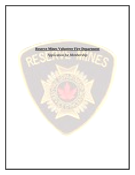

*Application for Membership*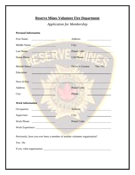# **Reserve Mines Volunteer Fire Department**

## *Application for Membership*

## **Personal Information**

| Address:                      |
|-------------------------------|
| City:                         |
| Postal Code:                  |
| Cell Phone:                   |
| Yes / No<br>Driver's License: |
|                               |
|                               |
| <b>Postal Code:</b>           |
| Phone:                        |
|                               |
| Address:                      |
| City:                         |
| Postal Code:                  |
|                               |
|                               |

Previously, have you ever been a member of another volunteer organization?

Yes / No

If yes, what organization: